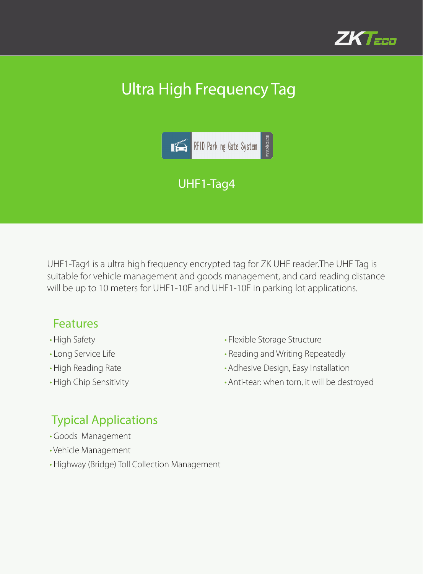

# Ultra High Frequency Tag



UHF1-Tag4 is a ultra high frequency encrypted tag for ZK UHF reader.The UHF Tag is suitable for vehicle management and goods management, and card reading distance will be up to 10 meters for UHF1-10E and UHF1-10F in parking lot applications.

#### Features

- High Safety
- Long Service Life
- High Reading Rate
- High Chip Sensitivity
- Flexible Storage Structure
- Reading and Writing Repeatedly
- •Adhesive Design, Easy Installation
- •Anti-tear: when torn, it will be destroyed

### Typical Applications

- Goods Management
- Vehicle Management
- Highway (Bridge) Toll Collection Management